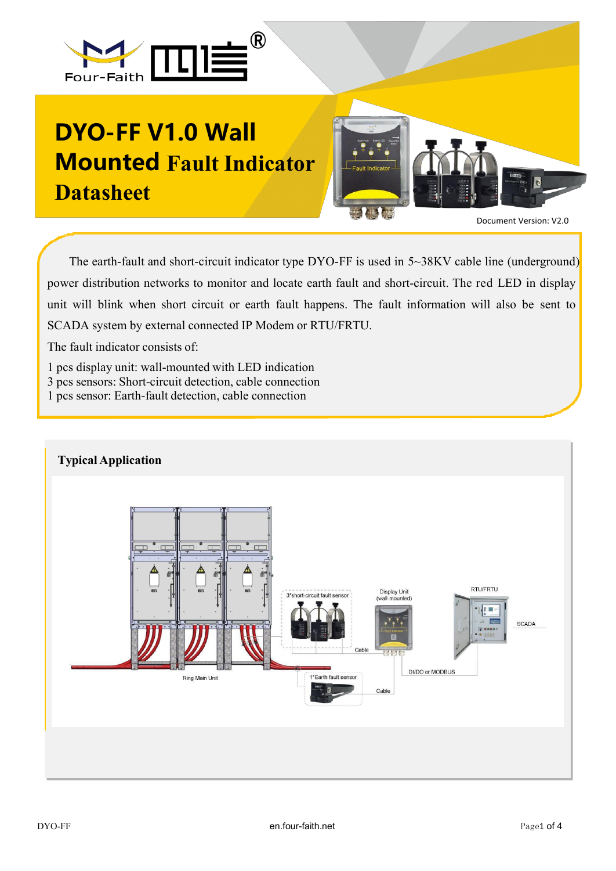

## **DYO-FF V1.0 Wall Mounted Fault Indicator Datasheet**



The earth-fault and short-circuit indicator type DYO-FF is used in 5~38KV cable line (underground) power distribution networks to monitor and locate earth fault and short-circuit. The red LED in display unit will blink when short circuit or earth fault happens. The fault information will also be sent to SCADA system by external connected IP Modem or RTU/FRTU.

The fault indicator consists of:

1 pcs display unit: wall-mounted with LED indication

- 3 pcs sensors: Short-circuit detection, cable connection
- 1 pcs sensor: Earth-fault detection, cable connection

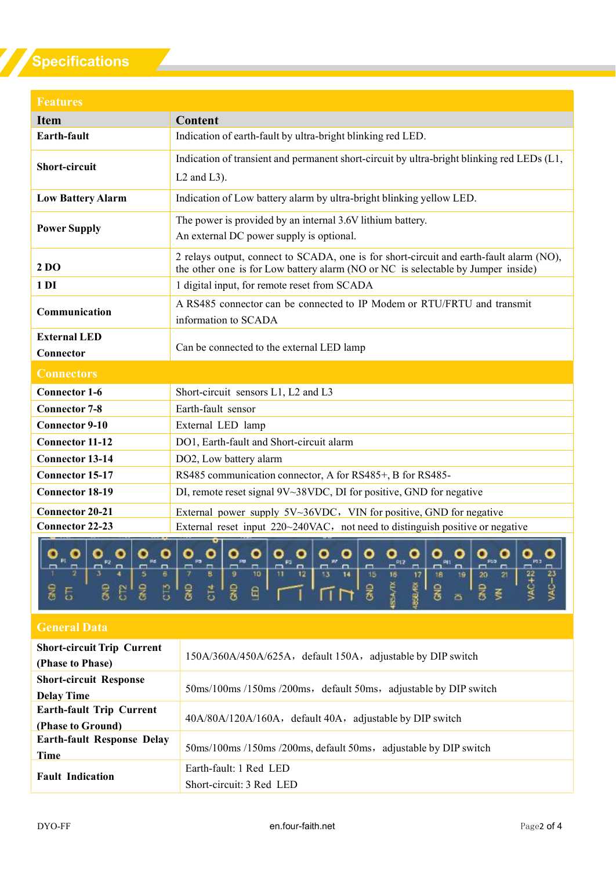## **Specifications**

| <b>Features</b>                  |                                                                                                                                                                             |
|----------------------------------|-----------------------------------------------------------------------------------------------------------------------------------------------------------------------------|
| <b>Item</b>                      | <b>Content</b>                                                                                                                                                              |
| <b>Earth-fault</b>               | Indication of earth-fault by ultra-bright blinking red LED.                                                                                                                 |
| <b>Short-circuit</b>             | Indication of transient and permanent short-circuit by ultra-bright blinking red LEDs (L1,<br>$L2$ and $L3$ ).                                                              |
| <b>Low Battery Alarm</b>         | Indication of Low battery alarm by ultra-bright blinking yellow LED.                                                                                                        |
| <b>Power Supply</b>              | The power is provided by an internal 3.6V lithium battery.<br>An external DC power supply is optional.                                                                      |
| 2 DO                             | 2 relays output, connect to SCADA, one is for short-circuit and earth-fault alarm (NO),<br>the other one is for Low battery alarm (NO or NC is selectable by Jumper inside) |
| 1 <sub>D1</sub>                  | 1 digital input, for remote reset from SCADA                                                                                                                                |
| Communication                    | A RS485 connector can be connected to IP Modem or RTU/FRTU and transmit<br>information to SCADA                                                                             |
| <b>External LED</b><br>Connector | Can be connected to the external LED lamp                                                                                                                                   |
| <b>Connectors</b>                |                                                                                                                                                                             |
| <b>Connector 1-6</b>             | Short-circuit sensors L1, L2 and L3                                                                                                                                         |
| <b>Connector 7-8</b>             | Earth-fault sensor                                                                                                                                                          |
| <b>Connector 9-10</b>            | External LED lamp                                                                                                                                                           |
| <b>Connector 11-12</b>           | DO1, Earth-fault and Short-circuit alarm                                                                                                                                    |
| <b>Connector 13-14</b>           | DO2, Low battery alarm                                                                                                                                                      |
| <b>Connector 15-17</b>           | RS485 communication connector, A for RS485+, B for RS485-                                                                                                                   |
| <b>Connector 18-19</b>           | DI, remote reset signal 9V~38VDC, DI for positive, GND for negative                                                                                                         |
| <b>Connector 20-21</b>           | External power supply 5V~36VDC, VIN for positive, GND for negative                                                                                                          |
| <b>Connector 22-23</b>           | External reset input $220~240$ VAC, not need to distinguish positive or negative                                                                                            |
|                                  | ᠳ                                                                                                                                                                           |



## **General Data**

| <b>Short-circuit Trip Current</b><br>(Phase to Phase) | 150A/360A/450A/625A, default 150A, adjustable by DIP switch      |
|-------------------------------------------------------|------------------------------------------------------------------|
| <b>Short-circuit Response</b><br><b>Delay Time</b>    | 50ms/100ms /150ms /200ms, default 50ms, adjustable by DIP switch |
| <b>Earth-fault Trip Current</b><br>(Phase to Ground)  | 40A/80A/120A/160A, default 40A, adjustable by DIP switch         |
| <b>Earth-fault Response Delay</b><br>Time             | 50ms/100ms/150ms/200ms, default 50ms, adjustable by DIP switch   |
| <b>Fault Indication</b>                               | Earth-fault: 1 Red LED<br>Short-circuit: 3 Red LED               |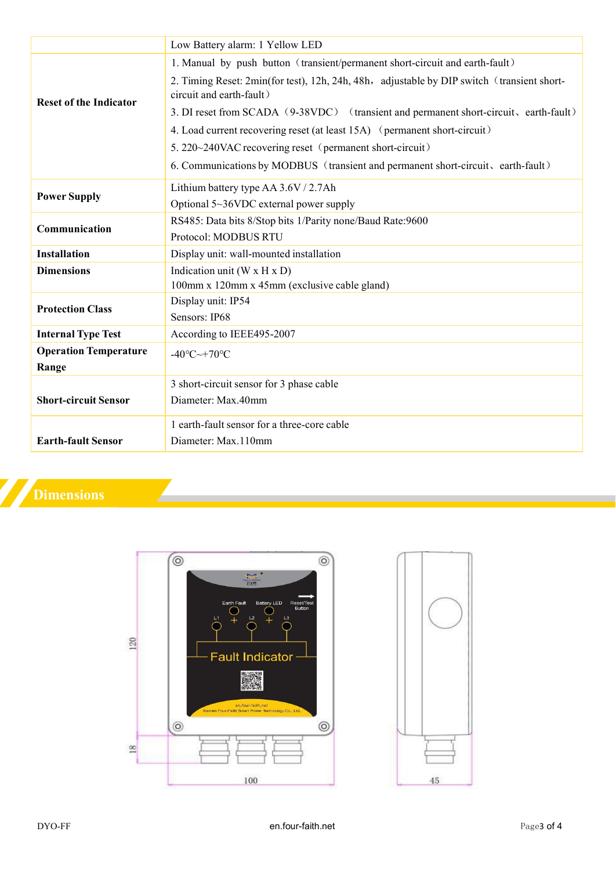|                               | Low Battery alarm: 1 Yellow LED                                                                                        |
|-------------------------------|------------------------------------------------------------------------------------------------------------------------|
| <b>Reset of the Indicator</b> | 1. Manual by push button (transient/permanent short-circuit and earth-fault)                                           |
|                               | 2. Timing Reset: 2min(for test), 12h, 24h, 48h, adjustable by DIP switch (transient short-<br>circuit and earth-fault) |
|                               | 3. DI reset from SCADA (9-38VDC) (transient and permanent short-circuit, earth-fault)                                  |
|                               | 4. Load current recovering reset (at least 15A) (permanent short-circuit)                                              |
|                               | 5. 220~240VAC recovering reset (permanent short-circuit)                                                               |
|                               | 6. Communications by MODBUS (transient and permanent short-circuit, earth-fault)                                       |
| <b>Power Supply</b>           | Lithium battery type AA 3.6V / 2.7Ah                                                                                   |
|                               | Optional 5~36VDC external power supply                                                                                 |
| Communication                 | RS485: Data bits 8/Stop bits 1/Parity none/Baud Rate:9600                                                              |
|                               | Protocol: MODBUS RTU                                                                                                   |
| <b>Installation</b>           | Display unit: wall-mounted installation                                                                                |
| <b>Dimensions</b>             | Indication unit ( $W \times H \times D$ )                                                                              |
|                               | 100mm x 120mm x 45mm (exclusive cable gland)                                                                           |
| <b>Protection Class</b>       | Display unit: IP54                                                                                                     |
|                               | Sensors: IP68                                                                                                          |
| <b>Internal Type Test</b>     | According to IEEE495-2007                                                                                              |
| <b>Operation Temperature</b>  | $-40^{\circ}$ C $-+70^{\circ}$ C                                                                                       |
| Range                         |                                                                                                                        |
|                               | 3 short-circuit sensor for 3 phase cable                                                                               |
| <b>Short-circuit Sensor</b>   | Diameter: Max.40mm                                                                                                     |
|                               | 1 earth-fault sensor for a three-core cable                                                                            |
| <b>Earth-fault Sensor</b>     | Diameter: Max.110mm                                                                                                    |
|                               |                                                                                                                        |

## **Dimensions**

Ζ